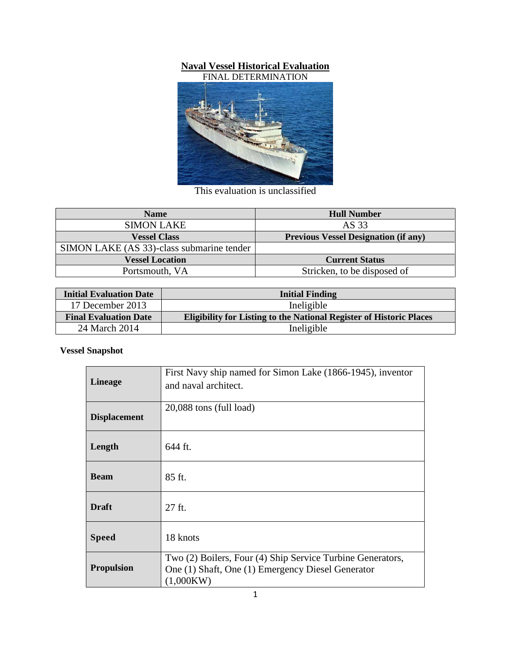# **Naval Vessel Historical Evaluation**



This evaluation is unclassified

| <b>Name</b>                               | <b>Hull Number</b>                          |
|-------------------------------------------|---------------------------------------------|
| <b>SIMON LAKE</b>                         | AS 33                                       |
| <b>Vessel Class</b>                       | <b>Previous Vessel Designation (if any)</b> |
| SIMON LAKE (AS 33)-class submarine tender |                                             |
| <b>Vessel Location</b>                    | <b>Current Status</b>                       |
| Portsmouth, VA                            | Stricken, to be disposed of                 |

| <b>Initial Evaluation Date</b> | <b>Initial Finding</b>                                                     |  |
|--------------------------------|----------------------------------------------------------------------------|--|
| 17 December 2013               | Ineligible                                                                 |  |
| <b>Final Evaluation Date</b>   | <b>Eligibility for Listing to the National Register of Historic Places</b> |  |
| 24 March 2014                  | Ineligible                                                                 |  |

## **Vessel Snapshot**

| <b>Lineage</b>      | First Navy ship named for Simon Lake (1866-1945), inventor<br>and naval architect.                                           |
|---------------------|------------------------------------------------------------------------------------------------------------------------------|
| <b>Displacement</b> | 20,088 tons (full load)                                                                                                      |
| Length              | 644 ft.                                                                                                                      |
| <b>Beam</b>         | 85 ft.                                                                                                                       |
| <b>Draft</b>        | 27 ft.                                                                                                                       |
| <b>Speed</b>        | 18 knots                                                                                                                     |
| <b>Propulsion</b>   | Two (2) Boilers, Four (4) Ship Service Turbine Generators,<br>One (1) Shaft, One (1) Emergency Diesel Generator<br>(1,000KW) |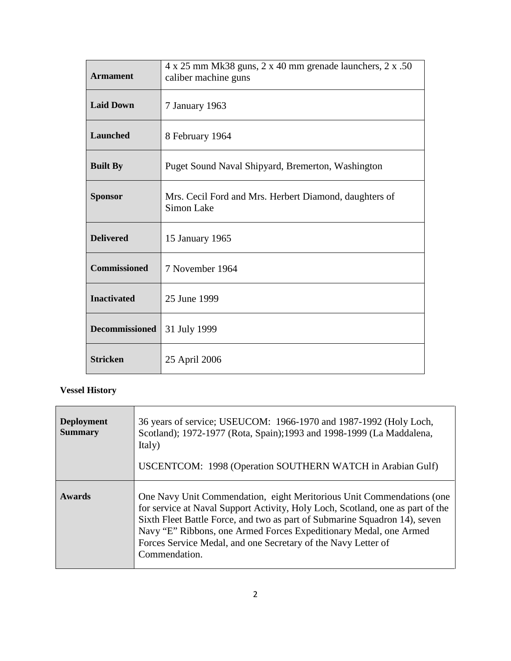| <b>Armament</b>       | $4 \times 25$ mm Mk38 guns, $2 \times 40$ mm grenade launchers, $2 \times .50$<br>caliber machine guns |
|-----------------------|--------------------------------------------------------------------------------------------------------|
| <b>Laid Down</b>      | 7 January 1963                                                                                         |
| <b>Launched</b>       | 8 February 1964                                                                                        |
| <b>Built By</b>       | Puget Sound Naval Shipyard, Bremerton, Washington                                                      |
| <b>Sponsor</b>        | Mrs. Cecil Ford and Mrs. Herbert Diamond, daughters of<br>Simon Lake                                   |
| <b>Delivered</b>      | 15 January 1965                                                                                        |
| <b>Commissioned</b>   | 7 November 1964                                                                                        |
| <b>Inactivated</b>    | 25 June 1999                                                                                           |
| <b>Decommissioned</b> | 31 July 1999                                                                                           |
| <b>Stricken</b>       | 25 April 2006                                                                                          |

## **Vessel History**

| <b>Deployment</b><br><b>Summary</b> | 36 years of service; USEUCOM: 1966-1970 and 1987-1992 (Holy Loch,<br>Scotland); 1972-1977 (Rota, Spain); 1993 and 1998-1999 (La Maddalena,<br>Italy)<br>USCENTCOM: 1998 (Operation SOUTHERN WATCH in Arabian Gulf)                                                                                                                                                                           |
|-------------------------------------|----------------------------------------------------------------------------------------------------------------------------------------------------------------------------------------------------------------------------------------------------------------------------------------------------------------------------------------------------------------------------------------------|
| <b>Awards</b>                       | One Navy Unit Commendation, eight Meritorious Unit Commendations (one<br>for service at Naval Support Activity, Holy Loch, Scotland, one as part of the<br>Sixth Fleet Battle Force, and two as part of Submarine Squadron 14), seven<br>Navy "E" Ribbons, one Armed Forces Expeditionary Medal, one Armed<br>Forces Service Medal, and one Secretary of the Navy Letter of<br>Commendation. |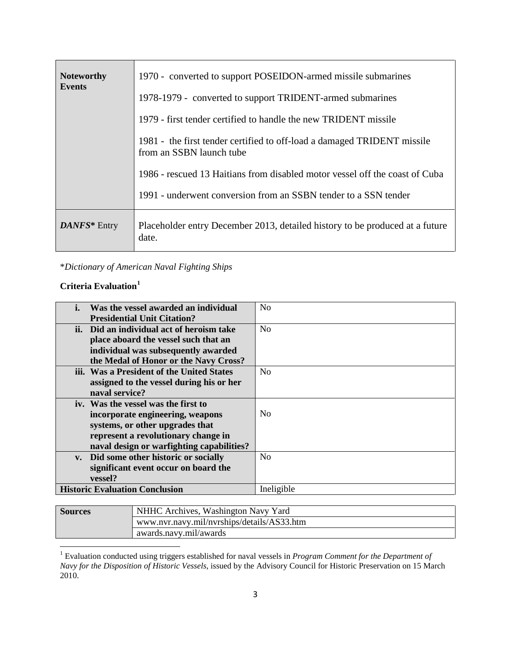| <b>Noteworthy</b><br><b>Events</b> | 1970 - converted to support POSEIDON-armed missile submarines<br>1978-1979 - converted to support TRIDENT-armed submarines<br>1979 - first tender certified to handle the new TRIDENT missile<br>1981 - the first tender certified to off-load a damaged TRIDENT missile<br>from an SSBN launch tube |
|------------------------------------|------------------------------------------------------------------------------------------------------------------------------------------------------------------------------------------------------------------------------------------------------------------------------------------------------|
|                                    | 1986 - rescued 13 Haitians from disabled motor vessel off the coast of Cuba<br>1991 - underwent conversion from an SSBN tender to a SSN tender                                                                                                                                                       |
| DANFS* Entry                       | Placeholder entry December 2013, detailed history to be produced at a future<br>date.                                                                                                                                                                                                                |

\**Dictionary of American Naval Fighting Ships*

#### **Criteria Evaluation[1](#page-2-0)**

| Was the vessel awarded an individual      | N <sub>0</sub> |
|-------------------------------------------|----------------|
| <b>Presidential Unit Citation?</b>        |                |
| ii. Did an individual act of heroism take | N <sub>0</sub> |
| place aboard the vessel such that an      |                |
| individual was subsequently awarded       |                |
| the Medal of Honor or the Navy Cross?     |                |
| iii. Was a President of the United States | N <sub>0</sub> |
| assigned to the vessel during his or her  |                |
| naval service?                            |                |
| iv. Was the vessel was the first to       |                |
| incorporate engineering, weapons          | N <sub>0</sub> |
| systems, or other upgrades that           |                |
| represent a revolutionary change in       |                |
| naval design or warfighting capabilities? |                |
| v. Did some other historic or socially    | N <sub>0</sub> |
| significant event occur on board the      |                |
| vessel?                                   |                |
| <b>Historic Evaluation Conclusion</b>     | Ineligible     |

| <b>Sources</b>         | NHHC Archives, Washington Navy Yard        |  |
|------------------------|--------------------------------------------|--|
|                        | www.nvr.navy.mil/nvrships/details/AS33.htm |  |
| awards.navy.mil/awards |                                            |  |

<span id="page-2-0"></span><sup>1</sup> Evaluation conducted using triggers established for naval vessels in *Program Comment for the Department of Navy for the Disposition of Historic Vessels*, issued by the Advisory Council for Historic Preservation on 15 March 2010.